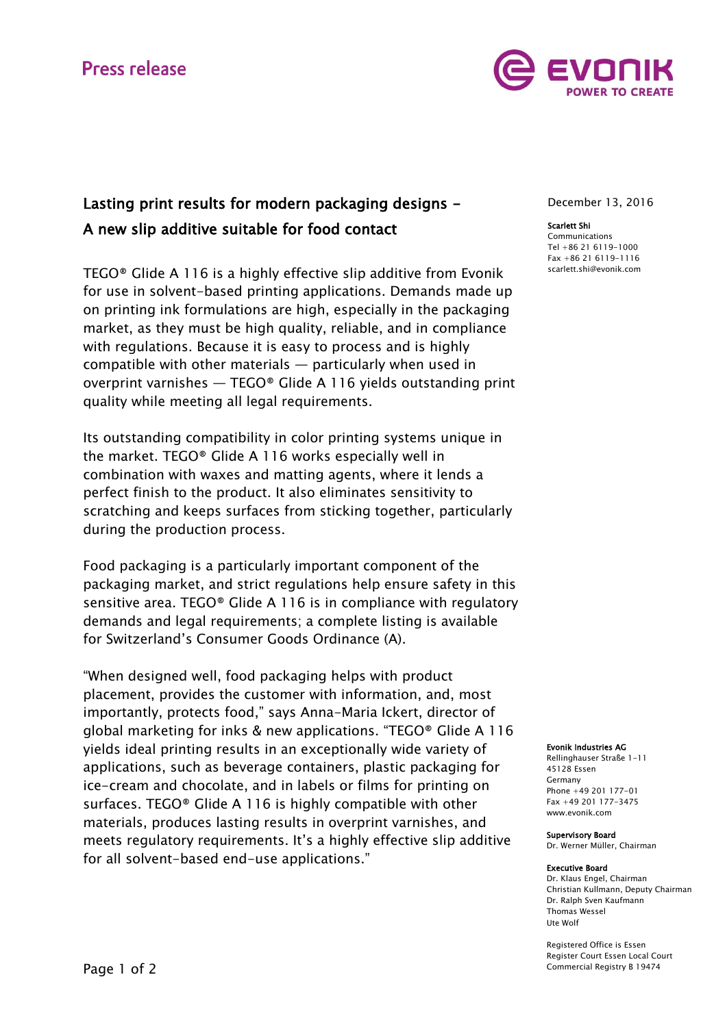# **Press release**



## Lasting print results for modern packaging designs - A new slip additive suitable for food contact

TEGO® Glide A 116 is a highly effective slip additive from Evonik for use in solvent-based printing applications. Demands made up on printing ink formulations are high, especially in the packaging market, as they must be high quality, reliable, and in compliance with regulations. Because it is easy to process and is highly compatible with other materials — particularly when used in overprint varnishes — TEGO® Glide A 116 yields outstanding print quality while meeting all legal requirements.

Its outstanding compatibility in color printing systems unique in the market. TEGO® Glide A 116 works especially well in combination with waxes and matting agents, where it lends a perfect finish to the product. It also eliminates sensitivity to scratching and keeps surfaces from sticking together, particularly during the production process.

Food packaging is a particularly important component of the packaging market, and strict regulations help ensure safety in this sensitive area. TEGO® Glide A 116 is in compliance with regulatory demands and legal requirements; a complete listing is available for Switzerland's Consumer Goods Ordinance (A).

"When designed well, food packaging helps with product placement, provides the customer with information, and, most importantly, protects food," says Anna-Maria Ickert, director of global marketing for inks & new applications. "TEGO® Glide A 116 yields ideal printing results in an exceptionally wide variety of applications, such as beverage containers, plastic packaging for ice-cream and chocolate, and in labels or films for printing on surfaces. TEGO® Glide A 116 is highly compatible with other materials, produces lasting results in overprint varnishes, and meets regulatory requirements. It's a highly effective slip additive for all solvent-based end-use applications."

December 13, 2016

#### Scarlett Shi

Communications Tel +86 21 6119-1000 Fax +86 21 6119-1116 [scarlett.shi@evonik.com](mailto:scarlett.shi@evonik.com)

#### Evonik Industries AG

Rellinghauser Straße 1-11 45128 Essen Germany Phone +49 201 177-01 Fax +49 201 177-3475 www.evonik.com

#### Supervisory Board

Dr. Werner Müller, Chairman

#### Executive Board

Dr. Klaus Engel, Chairman Christian Kullmann, Deputy Chairman Dr. Ralph Sven Kaufmann Thomas Wessel Ute Wolf

Registered Office is Essen Register Court Essen Local Court Commercial Registry B 19474